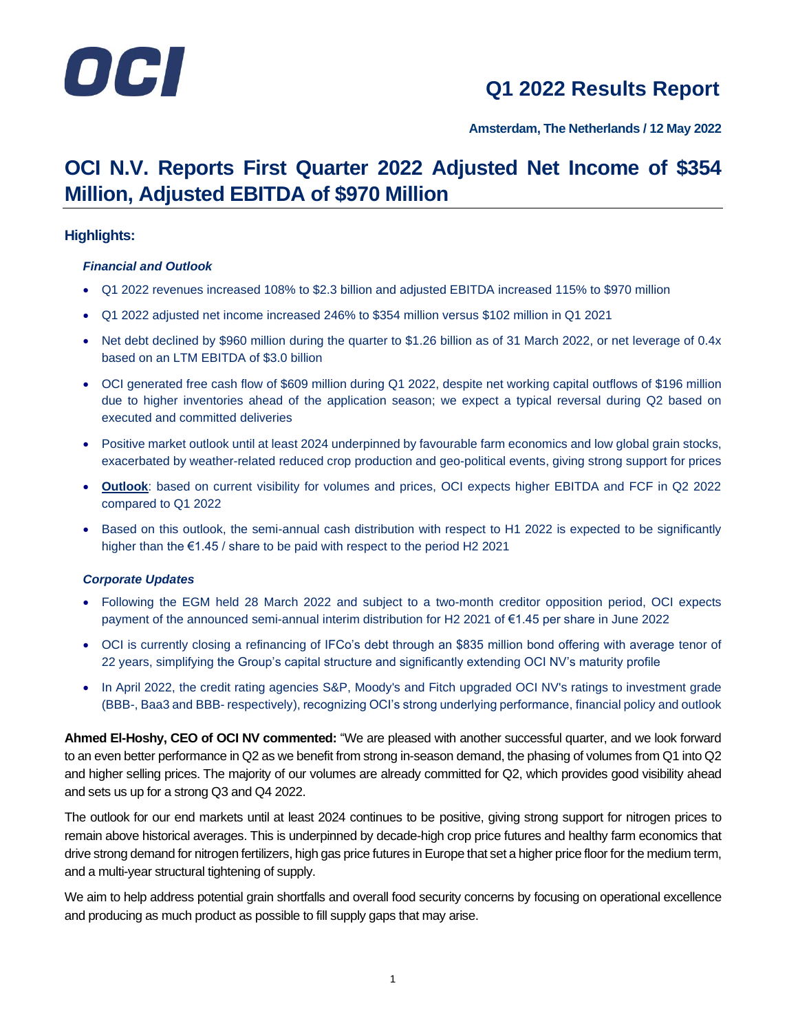

**Amsterdam, The Netherlands / 12 May 2022**

### **OCI N.V. Reports First Quarter 2022 Adjusted Net Income of \$354 Million, Adjusted EBITDA of \$970 Million**

#### **Highlights:**

#### *Financial and Outlook*

- Q1 2022 revenues increased 108% to \$2.3 billion and adjusted EBITDA increased 115% to \$970 million
- Q1 2022 adjusted net income increased 246% to \$354 million versus \$102 million in Q1 2021
- Net debt declined by \$960 million during the quarter to \$1.26 billion as of 31 March 2022, or net leverage of 0.4x based on an LTM EBITDA of \$3.0 billion
- OCI generated free cash flow of \$609 million during Q1 2022, despite net working capital outflows of \$196 million due to higher inventories ahead of the application season; we expect a typical reversal during Q2 based on executed and committed deliveries
- Positive market outlook until at least 2024 underpinned by favourable farm economics and low global grain stocks, exacerbated by weather-related reduced crop production and geo-political events, giving strong support for prices
- **Outlook**: based on current visibility for volumes and prices, OCI expects higher EBITDA and FCF in Q2 2022 compared to Q1 2022
- Based on this outlook, the semi-annual cash distribution with respect to H1 2022 is expected to be significantly higher than the €1.45 / share to be paid with respect to the period H2 2021

#### *Corporate Updates*

- Following the EGM held 28 March 2022 and subject to a two-month creditor opposition period, OCI expects payment of the announced semi-annual interim distribution for H2 2021 of €1.45 per share in June 2022
- OCI is currently closing a refinancing of IFCo's debt through an \$835 million bond offering with average tenor of 22 years, simplifying the Group's capital structure and significantly extending OCI NV's maturity profile
- In April 2022, the credit rating agencies S&P, Moody's and Fitch upgraded OCI NV's ratings to investment grade (BBB-, Baa3 and BBB- respectively), recognizing OCI's strong underlying performance, financial policy and outlook

**Ahmed El-Hoshy, CEO of OCI NV commented:** "We are pleased with another successful quarter, and we look forward to an even better performance in Q2 as we benefit from strong in-season demand, the phasing of volumes from Q1 into Q2 and higher selling prices. The majority of our volumes are already committed for Q2, which provides good visibility ahead and sets us up for a strong Q3 and Q4 2022.

The outlook for our end markets until at least 2024 continues to be positive, giving strong support for nitrogen prices to remain above historical averages. This is underpinned by decade-high crop price futures and healthy farm economics that drive strong demand for nitrogen fertilizers, high gas price futures in Europe that set a higher price floor for the medium term, and a multi-year structural tightening of supply.

We aim to help address potential grain shortfalls and overall food security concerns by focusing on operational excellence and producing as much product as possible to fill supply gaps that may arise.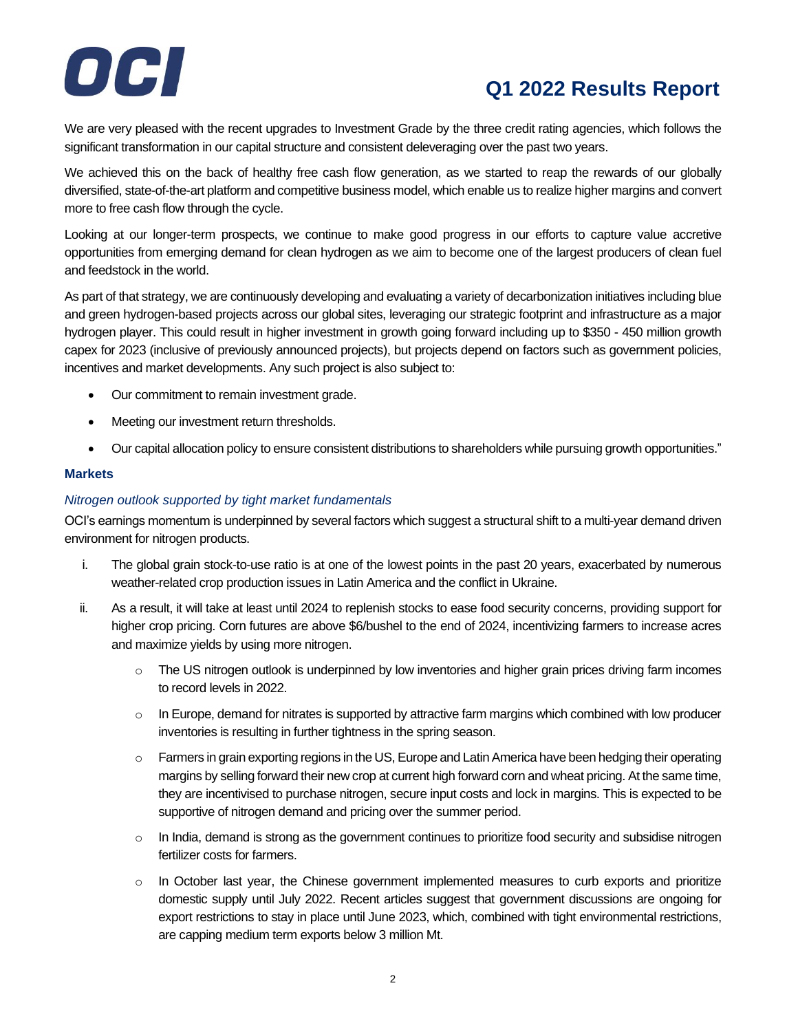

We are very pleased with the recent upgrades to Investment Grade by the three credit rating agencies, which follows the significant transformation in our capital structure and consistent deleveraging over the past two years.

We achieved this on the back of healthy free cash flow generation, as we started to reap the rewards of our globally diversified, state-of-the-art platform and competitive business model, which enable us to realize higher margins and convert more to free cash flow through the cycle.

Looking at our longer-term prospects, we continue to make good progress in our efforts to capture value accretive opportunities from emerging demand for clean hydrogen as we aim to become one of the largest producers of clean fuel and feedstock in the world.

As part of that strategy, we are continuously developing and evaluating a variety of decarbonization initiatives including blue and green hydrogen-based projects across our global sites, leveraging our strategic footprint and infrastructure as a major hydrogen player. This could result in higher investment in growth going forward including up to \$350 - 450 million growth capex for 2023 (inclusive of previously announced projects), but projects depend on factors such as government policies, incentives and market developments. Any such project is also subject to:

- Our commitment to remain investment grade.
- Meeting our investment return thresholds.
- Our capital allocation policy to ensure consistent distributions to shareholders while pursuing growth opportunities."

#### **Markets**

#### *Nitrogen outlook supported by tight market fundamentals*

OCI's earnings momentum is underpinned by several factors which suggest a structural shift to a multi-year demand driven environment for nitrogen products.

- i. The global grain stock-to-use ratio is at one of the lowest points in the past 20 years, exacerbated by numerous weather-related crop production issues in Latin America and the conflict in Ukraine.
- ii. As a result, it will take at least until 2024 to replenish stocks to ease food security concerns, providing support for higher crop pricing. Corn futures are above \$6/bushel to the end of 2024, incentivizing farmers to increase acres and maximize yields by using more nitrogen.
	- $\circ$  The US nitrogen outlook is underpinned by low inventories and higher grain prices driving farm incomes to record levels in 2022.
	- $\circ$  In Europe, demand for nitrates is supported by attractive farm margins which combined with low producer inventories is resulting in further tightness in the spring season.
	- $\circ$  Farmers in grain exporting regions in the US, Europe and Latin America have been hedging their operating margins by selling forward their new crop at current high forward corn and wheat pricing. At the same time, they are incentivised to purchase nitrogen, secure input costs and lock in margins. This is expected to be supportive of nitrogen demand and pricing over the summer period.
	- $\circ$  In India, demand is strong as the government continues to prioritize food security and subsidise nitrogen fertilizer costs for farmers.
	- $\circ$  In October last year, the Chinese government implemented measures to curb exports and prioritize domestic supply until July 2022. Recent articles suggest that government discussions are ongoing for export restrictions to stay in place until June 2023, which, combined with tight environmental restrictions, are capping medium term exports below 3 million Mt.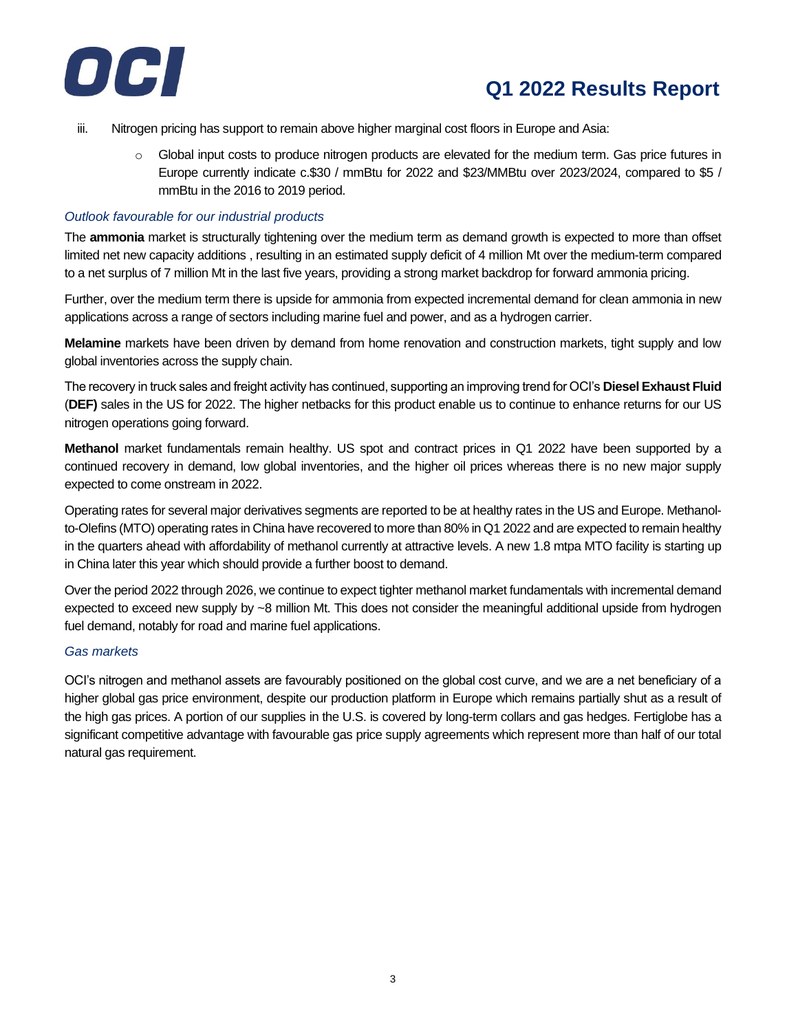

- iii. Nitrogen pricing has support to remain above higher marginal cost floors in Europe and Asia:
	- $\circ$  Global input costs to produce nitrogen products are elevated for the medium term. Gas price futures in Europe currently indicate c.\$30 / mmBtu for 2022 and \$23/MMBtu over 2023/2024, compared to \$5 / mmBtu in the 2016 to 2019 period.

#### *Outlook favourable for our industrial products*

The **ammonia** market is structurally tightening over the medium term as demand growth is expected to more than offset limited net new capacity additions , resulting in an estimated supply deficit of 4 million Mt over the medium-term compared to a net surplus of 7 million Mt in the last five years, providing a strong market backdrop for forward ammonia pricing.

Further, over the medium term there is upside for ammonia from expected incremental demand for clean ammonia in new applications across a range of sectors including marine fuel and power, and as a hydrogen carrier.

**Melamine** markets have been driven by demand from home renovation and construction markets, tight supply and low global inventories across the supply chain.

The recovery in truck sales and freight activity has continued, supporting an improving trend for OCI's **Diesel Exhaust Fluid** (**DEF)** sales in the US for 2022. The higher netbacks for this product enable us to continue to enhance returns for our US nitrogen operations going forward.

**Methanol** market fundamentals remain healthy. US spot and contract prices in Q1 2022 have been supported by a continued recovery in demand, low global inventories, and the higher oil prices whereas there is no new major supply expected to come onstream in 2022.

Operating rates for several major derivatives segments are reported to be at healthy rates in the US and Europe. Methanolto-Olefins (MTO) operating rates in China have recovered to more than 80% in Q1 2022 and are expected to remain healthy in the quarters ahead with affordability of methanol currently at attractive levels. A new 1.8 mtpa MTO facility is starting up in China later this year which should provide a further boost to demand.

Over the period 2022 through 2026, we continue to expect tighter methanol market fundamentals with incremental demand expected to exceed new supply by ~8 million Mt. This does not consider the meaningful additional upside from hydrogen fuel demand, notably for road and marine fuel applications.

#### *Gas markets*

OCI's nitrogen and methanol assets are favourably positioned on the global cost curve, and we are a net beneficiary of a higher global gas price environment, despite our production platform in Europe which remains partially shut as a result of the high gas prices. A portion of our supplies in the U.S. is covered by long-term collars and gas hedges. Fertiglobe has a significant competitive advantage with favourable gas price supply agreements which represent more than half of our total natural gas requirement.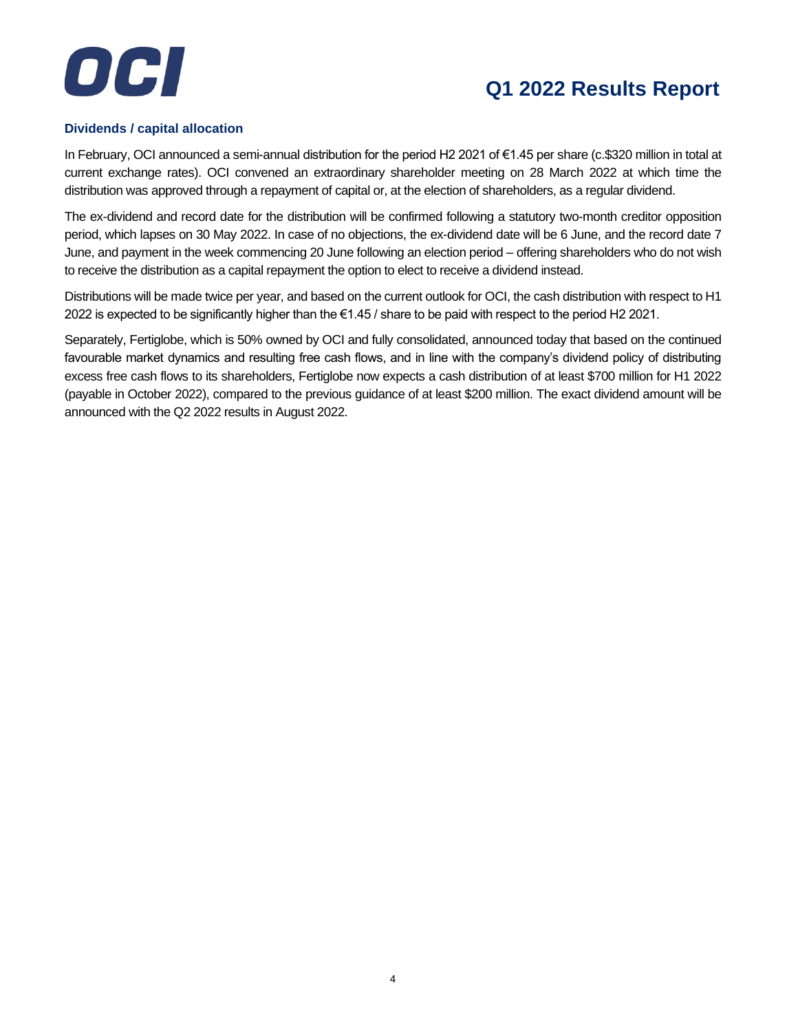



#### **Dividends / capital allocation**

In February, OCI announced a semi-annual distribution for the period H2 2021 of €1.45 per share (c.\$320 million in total at current exchange rates). OCI convened an extraordinary shareholder meeting on 28 March 2022 at which time the distribution was approved through a repayment of capital or, at the election of shareholders, as a regular dividend.

The ex-dividend and record date for the distribution will be confirmed following a statutory two-month creditor opposition period, which lapses on 30 May 2022. In case of no objections, the ex-dividend date will be 6 June, and the record date 7 June, and payment in the week commencing 20 June following an election period – offering shareholders who do not wish to receive the distribution as a capital repayment the option to elect to receive a dividend instead.

Distributions will be made twice per year, and based on the current outlook for OCI, the cash distribution with respect to H1 2022 is expected to be significantly higher than the €1.45 / share to be paid with respect to the period H2 2021.

Separately, Fertiglobe, which is 50% owned by OCI and fully consolidated, announced today that based on the continued favourable market dynamics and resulting free cash flows, and in line with the company's dividend policy of distributing excess free cash flows to its shareholders, Fertiglobe now expects a cash distribution of at least \$700 million for H1 2022 (payable in October 2022), compared to the previous guidance of at least \$200 million. The exact dividend amount will be announced with the Q2 2022 results in August 2022.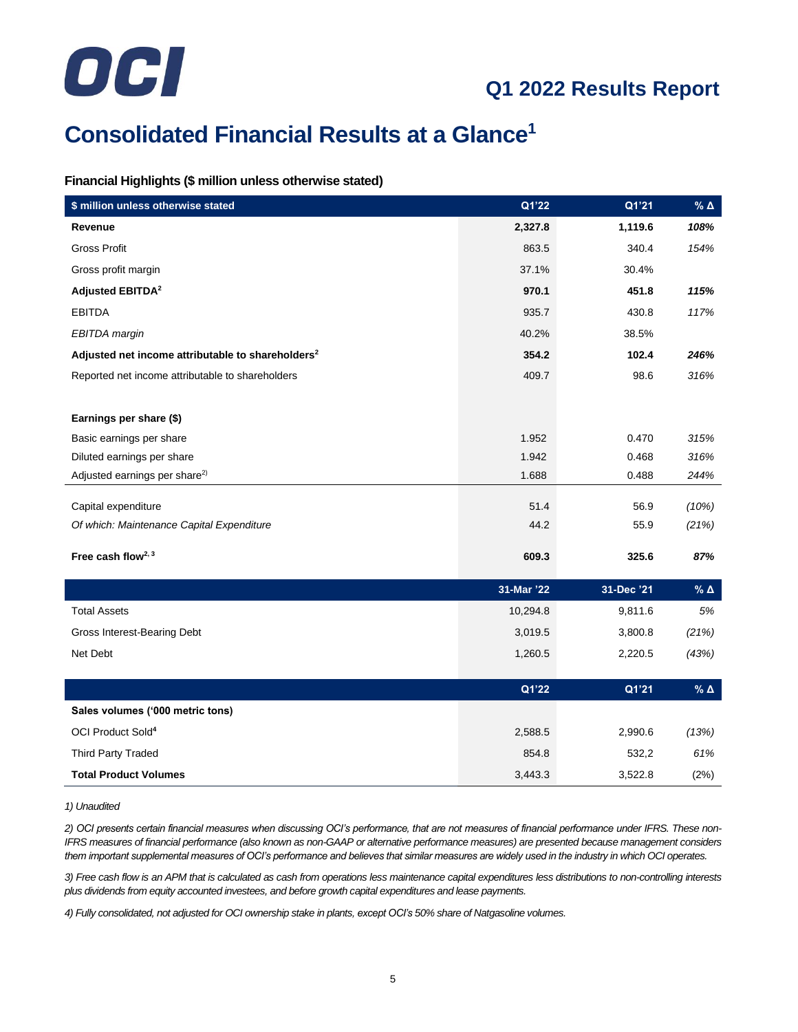

## **Consolidated Financial Results at a Glance<sup>1</sup>**

#### **Financial Highlights (\$ million unless otherwise stated)**

| \$ million unless otherwise stated                            | Q1'22      | Q1'21      | % $\Delta$       |
|---------------------------------------------------------------|------------|------------|------------------|
| Revenue                                                       | 2,327.8    | 1,119.6    | 108%             |
| <b>Gross Profit</b>                                           | 863.5      | 340.4      | 154%             |
| Gross profit margin                                           | 37.1%      | 30.4%      |                  |
| <b>Adjusted EBITDA<sup>2</sup></b>                            | 970.1      | 451.8      | 115%             |
| <b>EBITDA</b>                                                 | 935.7      | 430.8      | 117%             |
| EBITDA margin                                                 | 40.2%      | 38.5%      |                  |
| Adjusted net income attributable to shareholders <sup>2</sup> | 354.2      | 102.4      | 246%             |
| Reported net income attributable to shareholders              | 409.7      | 98.6       | 316%             |
|                                                               |            |            |                  |
| Earnings per share (\$)                                       |            |            |                  |
| Basic earnings per share                                      | 1.952      | 0.470      | 315%             |
| Diluted earnings per share                                    | 1.942      | 0.468      | 316%             |
| Adjusted earnings per share <sup>2)</sup>                     | 1.688      | 0.488      | 244%             |
| Capital expenditure                                           | 51.4       | 56.9       | (10%)            |
| Of which: Maintenance Capital Expenditure                     | 44.2       | 55.9       | (21%)            |
|                                                               |            |            |                  |
| Free cash flow <sup>2, 3</sup>                                | 609.3      | 325.6      | 87%              |
|                                                               | 31-Mar '22 | 31-Dec '21 | % $\pmb{\Delta}$ |
| <b>Total Assets</b>                                           | 10,294.8   | 9,811.6    | 5%               |
| Gross Interest-Bearing Debt                                   | 3,019.5    | 3,800.8    | (21%)            |
| Net Debt                                                      | 1,260.5    | 2,220.5    | (43%)            |
|                                                               |            |            |                  |
|                                                               | Q1'22      | Q1'21      | % $\pmb{\Delta}$ |
| Sales volumes ('000 metric tons)                              |            |            |                  |
| OCI Product Sold <sup>4</sup>                                 | 2,588.5    | 2,990.6    | (13%)            |
| <b>Third Party Traded</b>                                     | 854.8      | 532,2      | 61%              |
| <b>Total Product Volumes</b>                                  | 3,443.3    | 3,522.8    | (2%)             |

#### *1) Unaudited*

*2) OCI presents certain financial measures when discussing OCI's performance, that are not measures of financial performance under IFRS. These non-IFRS measures of financial performance (also known as non-GAAP or alternative performance measures) are presented because management considers them important supplemental measures of OCI's performance and believes that similar measures are widely used in the industry in which OCI operates.*

*3) Free cash flow is an APM that is calculated as cash from operations less maintenance capital expenditures less distributions to non-controlling interests plus dividends from equity accounted investees, and before growth capital expenditures and lease payments.*

*4) Fully consolidated, not adjusted for OCI ownership stake in plants, except OCI's 50% share of Natgasoline volumes.*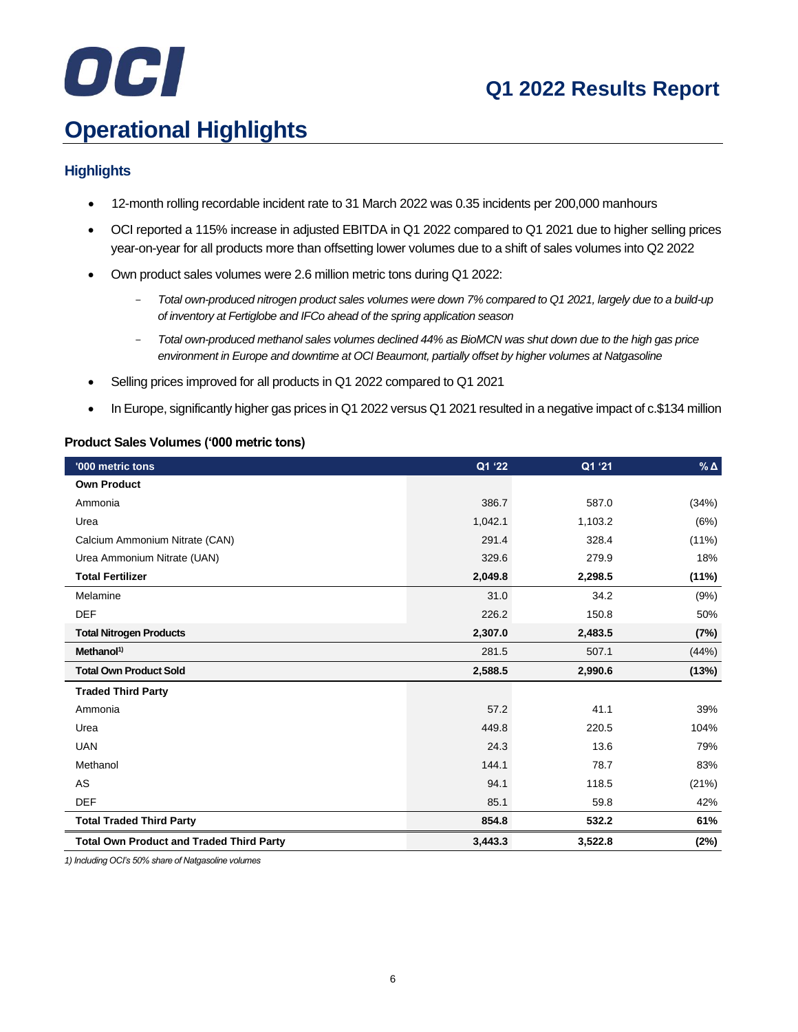# OCI

## **Q1 2022 Results Report**

## **Operational Highlights**

#### **Highlights**

- 12-month rolling recordable incident rate to 31 March 2022 was 0.35 incidents per 200,000 manhours
- OCI reported a 115% increase in adjusted EBITDA in Q1 2022 compared to Q1 2021 due to higher selling prices year-on-year for all products more than offsetting lower volumes due to a shift of sales volumes into Q2 2022
- Own product sales volumes were 2.6 million metric tons during Q1 2022:
	- *Total own-produced nitrogen product sales volumes were down 7% compared to Q1 2021, largely due to a build-up of inventory at Fertiglobe and IFCo ahead of the spring application season*
	- *Total own-produced methanol sales volumes declined 44% as BioMCN was shut down due to the high gas price environment in Europe and downtime at OCI Beaumont, partially offset by higher volumes at Natgasoline*
- Selling prices improved for all products in Q1 2022 compared to Q1 2021
- In Europe, significantly higher gas prices in Q1 2022 versus Q1 2021 resulted in a negative impact of c.\$134 million

#### **Product Sales Volumes ('000 metric tons)**

| '000 metric tons                                | Q1 '22  | Q1 '21  | $%$ $\triangle$ |
|-------------------------------------------------|---------|---------|-----------------|
| <b>Own Product</b>                              |         |         |                 |
| Ammonia                                         | 386.7   | 587.0   | (34%)           |
| Urea                                            | 1,042.1 | 1,103.2 | (6%)            |
| Calcium Ammonium Nitrate (CAN)                  | 291.4   | 328.4   | $(11\%)$        |
| Urea Ammonium Nitrate (UAN)                     | 329.6   | 279.9   | 18%             |
| <b>Total Fertilizer</b>                         | 2,049.8 | 2,298.5 | (11%)           |
| Melamine                                        | 31.0    | 34.2    | (9%)            |
| <b>DEF</b>                                      | 226.2   | 150.8   | 50%             |
| <b>Total Nitrogen Products</b>                  | 2,307.0 | 2,483.5 | (7%)            |
| Method <sup>1</sup>                             | 281.5   | 507.1   | (44%)           |
| <b>Total Own Product Sold</b>                   | 2,588.5 | 2,990.6 | (13%)           |
| <b>Traded Third Party</b>                       |         |         |                 |
| Ammonia                                         | 57.2    | 41.1    | 39%             |
| Urea                                            | 449.8   | 220.5   | 104%            |
| <b>UAN</b>                                      | 24.3    | 13.6    | 79%             |
| Methanol                                        | 144.1   | 78.7    | 83%             |
| AS                                              | 94.1    | 118.5   | (21%)           |
| <b>DEF</b>                                      | 85.1    | 59.8    | 42%             |
| <b>Total Traded Third Party</b>                 | 854.8   | 532.2   | 61%             |
| <b>Total Own Product and Traded Third Party</b> | 3,443.3 | 3,522.8 | (2%)            |

*1) Including OCI's 50% share of Natgasoline volumes*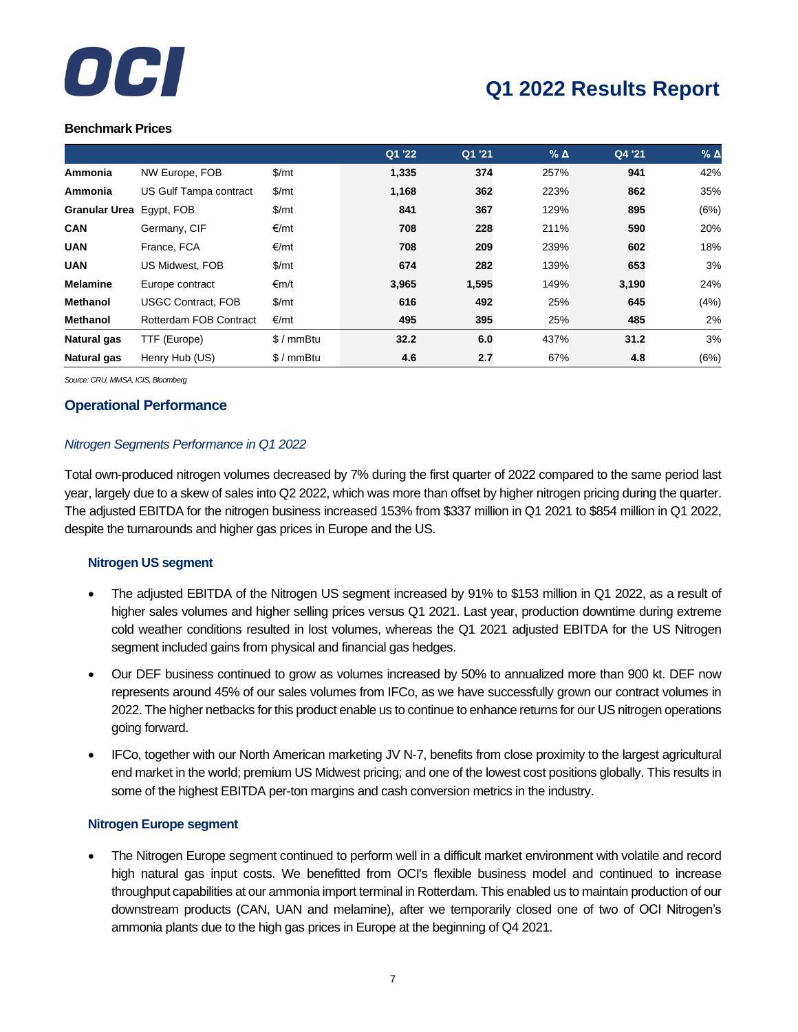

#### **Benchmark Prices**

|                      |                           |            | Q1 '22 | Q1 '21 | $%$ $\triangle$ | Q4 '21 | $%$ $\triangle$ |
|----------------------|---------------------------|------------|--------|--------|-----------------|--------|-----------------|
| Ammonia              | NW Europe, FOB            | \$/mt      | 1,335  | 374    | 257%            | 941    | 42%             |
| Ammonia              | US Gulf Tampa contract    | \$/mt      | 1,168  | 362    | 223%            | 862    | 35%             |
| <b>Granular Urea</b> | Egypt, FOB                | \$/mt      | 841    | 367    | 129%            | 895    | (6%)            |
| <b>CAN</b>           | Germany, CIF              | €/mt       | 708    | 228    | 211%            | 590    | 20%             |
| <b>UAN</b>           | France, FCA               | €/mt       | 708    | 209    | 239%            | 602    | 18%             |
| <b>UAN</b>           | US Midwest, FOB           | \$/mt      | 674    | 282    | 139%            | 653    | 3%              |
| <b>Melamine</b>      | Europe contract           | €m/t       | 3,965  | 1,595  | 149%            | 3,190  | 24%             |
| <b>Methanol</b>      | <b>USGC Contract, FOB</b> | \$/mt      | 616    | 492    | 25%             | 645    | (4%)            |
| <b>Methanol</b>      | Rotterdam FOB Contract    | €/mt       | 495    | 395    | 25%             | 485    | 2%              |
| Natural gas          | TTF (Europe)              | $$/mmB$ tu | 32.2   | 6.0    | 437%            | 31.2   | 3%              |
| Natural gas          | Henry Hub (US)            | $$/mmB$ tu | 4.6    | 2.7    | 67%             | 4.8    | (6%)            |

*Source: CRU, MMSA, ICIS, Bloomberg*

#### **Operational Performance**

#### *Nitrogen Segments Performance in Q1 2022*

Total own-produced nitrogen volumes decreased by 7% during the first quarter of 2022 compared to the same period last year, largely due to a skew of sales into Q2 2022, which was more than offset by higher nitrogen pricing during the quarter. The adjusted EBITDA for the nitrogen business increased 153% from \$337 million in Q1 2021 to \$854 million in Q1 2022, despite the turnarounds and higher gas prices in Europe and the US.

#### **Nitrogen US segment**

- The adjusted EBITDA of the Nitrogen US segment increased by 91% to \$153 million in Q1 2022, as a result of higher sales volumes and higher selling prices versus Q1 2021. Last year, production downtime during extreme cold weather conditions resulted in lost volumes, whereas the Q1 2021 adjusted EBITDA for the US Nitrogen segment included gains from physical and financial gas hedges.
- Our DEF business continued to grow as volumes increased by 50% to annualized more than 900 kt. DEF now represents around 45% of our sales volumes from IFCo, as we have successfully grown our contract volumes in 2022. The higher netbacks for this product enable us to continue to enhance returns for our US nitrogen operations going forward.
- IFCo, together with our North American marketing JV N-7, benefits from close proximity to the largest agricultural end market in the world; premium US Midwest pricing; and one of the lowest cost positions globally. This results in some of the highest EBITDA per-ton margins and cash conversion metrics in the industry.

#### **Nitrogen Europe segment**

• The Nitrogen Europe segment continued to perform well in a difficult market environment with volatile and record high natural gas input costs. We benefitted from OCI's flexible business model and continued to increase throughput capabilities at our ammonia import terminal in Rotterdam. This enabled us to maintain production of our downstream products (CAN, UAN and melamine), after we temporarily closed one of two of OCI Nitrogen's ammonia plants due to the high gas prices in Europe at the beginning of Q4 2021.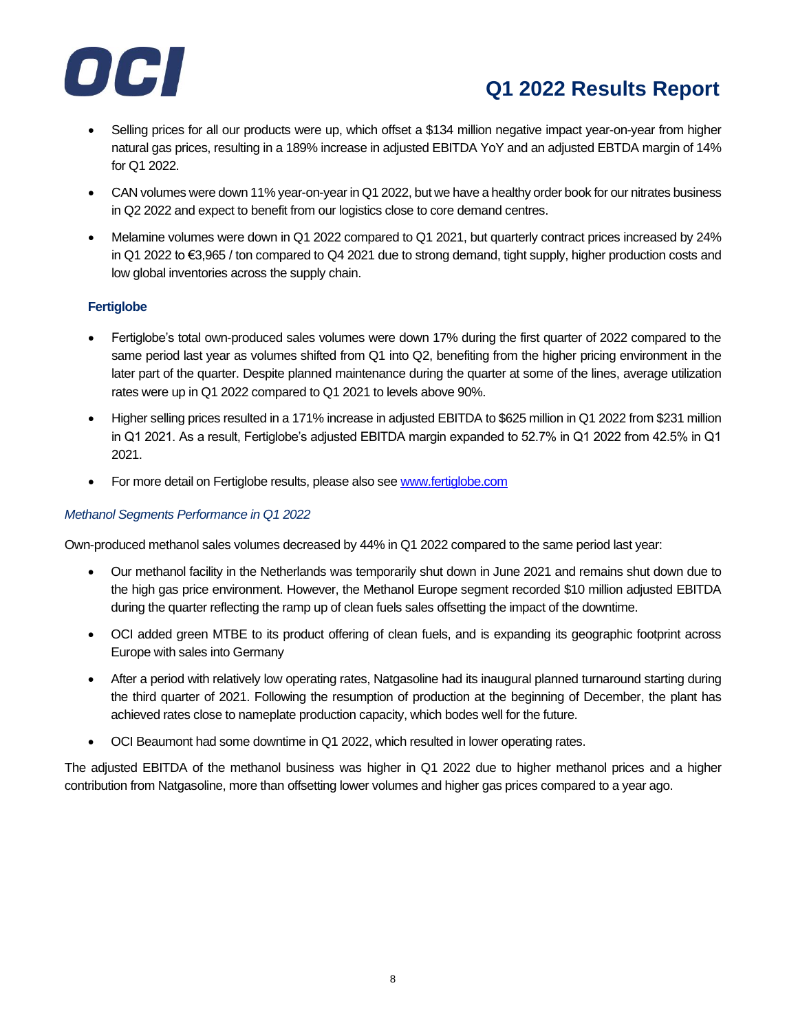

- Selling prices for all our products were up, which offset a \$134 million negative impact year-on-year from higher natural gas prices, resulting in a 189% increase in adjusted EBITDA YoY and an adjusted EBTDA margin of 14% for Q1 2022.
- CAN volumes were down 11% year-on-year in Q1 2022, but we have a healthy order book for our nitrates business in Q2 2022 and expect to benefit from our logistics close to core demand centres.
- Melamine volumes were down in Q1 2022 compared to Q1 2021, but quarterly contract prices increased by 24% in Q1 2022 to €3,965 / ton compared to Q4 2021 due to strong demand, tight supply, higher production costs and low global inventories across the supply chain.

#### **Fertiglobe**

- Fertiglobe's total own-produced sales volumes were down 17% during the first quarter of 2022 compared to the same period last year as volumes shifted from Q1 into Q2, benefiting from the higher pricing environment in the later part of the quarter. Despite planned maintenance during the quarter at some of the lines, average utilization rates were up in Q1 2022 compared to Q1 2021 to levels above 90%.
- Higher selling prices resulted in a 171% increase in adjusted EBITDA to \$625 million in Q1 2022 from \$231 million in Q1 2021. As a result, Fertiglobe's adjusted EBITDA margin expanded to 52.7% in Q1 2022 from 42.5% in Q1 2021.
- For more detail on Fertiglobe results, please also se[e www.fertiglobe.com](http://www.fertiglobe.com/)

#### *Methanol Segments Performance in Q1 2022*

Own-produced methanol sales volumes decreased by 44% in Q1 2022 compared to the same period last year:

- Our methanol facility in the Netherlands was temporarily shut down in June 2021 and remains shut down due to the high gas price environment. However, the Methanol Europe segment recorded \$10 million adjusted EBITDA during the quarter reflecting the ramp up of clean fuels sales offsetting the impact of the downtime.
- OCI added green MTBE to its product offering of clean fuels, and is expanding its geographic footprint across Europe with sales into Germany
- After a period with relatively low operating rates, Natgasoline had its inaugural planned turnaround starting during the third quarter of 2021. Following the resumption of production at the beginning of December, the plant has achieved rates close to nameplate production capacity, which bodes well for the future.
- OCI Beaumont had some downtime in Q1 2022, which resulted in lower operating rates.

The adjusted EBITDA of the methanol business was higher in Q1 2022 due to higher methanol prices and a higher contribution from Natgasoline, more than offsetting lower volumes and higher gas prices compared to a year ago.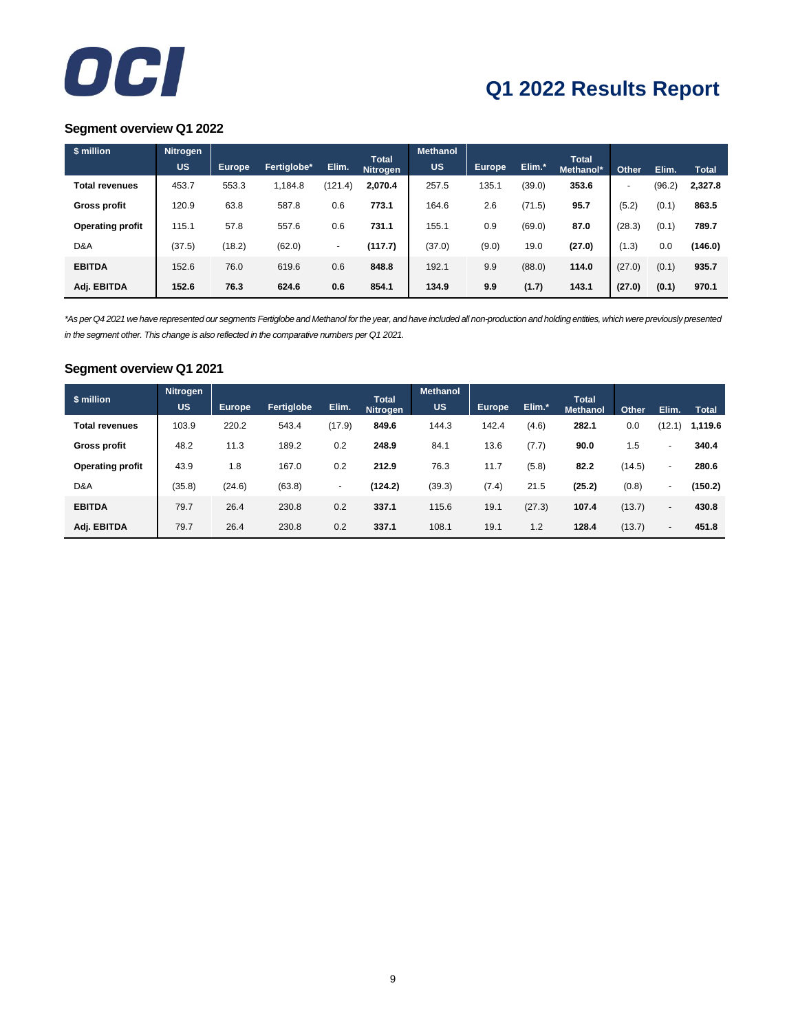

#### **Segment overview Q1 2022**

| \$ million              | <b>Nitrogen</b> |               |             |                          |                                 | <b>Methanol</b> |               |        |                           |                          |        |              |
|-------------------------|-----------------|---------------|-------------|--------------------------|---------------------------------|-----------------|---------------|--------|---------------------------|--------------------------|--------|--------------|
|                         | <b>US</b>       | <b>Europe</b> | Fertiglobe* | Elim.                    | <b>Total</b><br><b>Nitrogen</b> | <b>US</b>       | <b>Europe</b> | Elim.* | <b>Total</b><br>Methanol* | Other                    | Elim.  | <b>Total</b> |
| <b>Total revenues</b>   | 453.7           | 553.3         | 1,184.8     | (121.4)                  | 2,070.4                         | 257.5           | 135.1         | (39.0) | 353.6                     | $\overline{\phantom{0}}$ | (96.2) | 2,327.8      |
| <b>Gross profit</b>     | 120.9           | 63.8          | 587.8       | 0.6                      | 773.1                           | 164.6           | 2.6           | (71.5) | 95.7                      | (5.2)                    | (0.1)  | 863.5        |
| <b>Operating profit</b> | 115.1           | 57.8          | 557.6       | 0.6                      | 731.1                           | 155.1           | 0.9           | (69.0) | 87.0                      | (28.3)                   | (0.1)  | 789.7        |
| D&A                     | (37.5)          | (18.2)        | (62.0)      | $\overline{\phantom{a}}$ | (117.7)                         | (37.0)          | (9.0)         | 19.0   | (27.0)                    | (1.3)                    | 0.0    | (146.0)      |
| <b>EBITDA</b>           | 152.6           | 76.0          | 619.6       | 0.6                      | 848.8                           | 192.1           | 9.9           | (88.0) | 114.0                     | (27.0)                   | (0.1)  | 935.7        |
| Adj. EBITDA             | 152.6           | 76.3          | 624.6       | 0.6                      | 854.1                           | 134.9           | 9.9           | (1.7)  | 143.1                     | (27.0)                   | (0.1)  | 970.1        |

*\*As per Q4 2021 we have represented our segments Fertiglobe and Methanol for the year, and have included all non-production and holding entities, which were previously presented in the segment other. This change is also reflected in the comparative numbers per Q1 2021.*

#### **Segment overview Q1 2021**

| \$ million              | <b>Nitrogen</b><br><b>US</b> | Europe | Fertiglobe | Elim.  | <b>Total</b> | <b>Methanol</b><br><b>US</b> | Europe | Elim.* | <b>Total</b>    |        |                          |              |
|-------------------------|------------------------------|--------|------------|--------|--------------|------------------------------|--------|--------|-----------------|--------|--------------------------|--------------|
|                         |                              |        |            |        | Nitrogen     |                              |        |        | <b>Methanol</b> | Other  | Elim.                    | <b>Total</b> |
| <b>Total revenues</b>   | 103.9                        | 220.2  | 543.4      | (17.9) | 849.6        | 144.3                        | 142.4  | (4.6)  | 282.1           | 0.0    | (12.1)                   | 1,119.6      |
|                         |                              |        |            |        |              |                              |        |        |                 |        |                          |              |
| <b>Gross profit</b>     | 48.2                         | 11.3   | 189.2      | 0.2    | 248.9        | 84.1                         | 13.6   | (7.7)  | 90.0            | 1.5    | $\blacksquare$           | 340.4        |
| <b>Operating profit</b> | 43.9                         | 1.8    | 167.0      | 0.2    | 212.9        | 76.3                         | 11.7   | (5.8)  | 82.2            | (14.5) | ۰                        | 280.6        |
| D&A                     | (35.8)                       | (24.6) | (63.8)     | $\sim$ | (124.2)      | (39.3)                       | (7.4)  | 21.5   | (25.2)          | (0.8)  | $\blacksquare$           | (150.2)      |
|                         |                              |        |            |        |              |                              |        |        |                 |        |                          |              |
| <b>EBITDA</b>           | 79.7                         | 26.4   | 230.8      | 0.2    | 337.1        | 115.6                        | 19.1   | (27.3) | 107.4           | (13.7) | $\blacksquare$           | 430.8        |
| Adj. EBITDA             | 79.7                         | 26.4   | 230.8      | 0.2    | 337.1        | 108.1                        | 19.1   | 1.2    | 128.4           | (13.7) | $\overline{\phantom{a}}$ | 451.8        |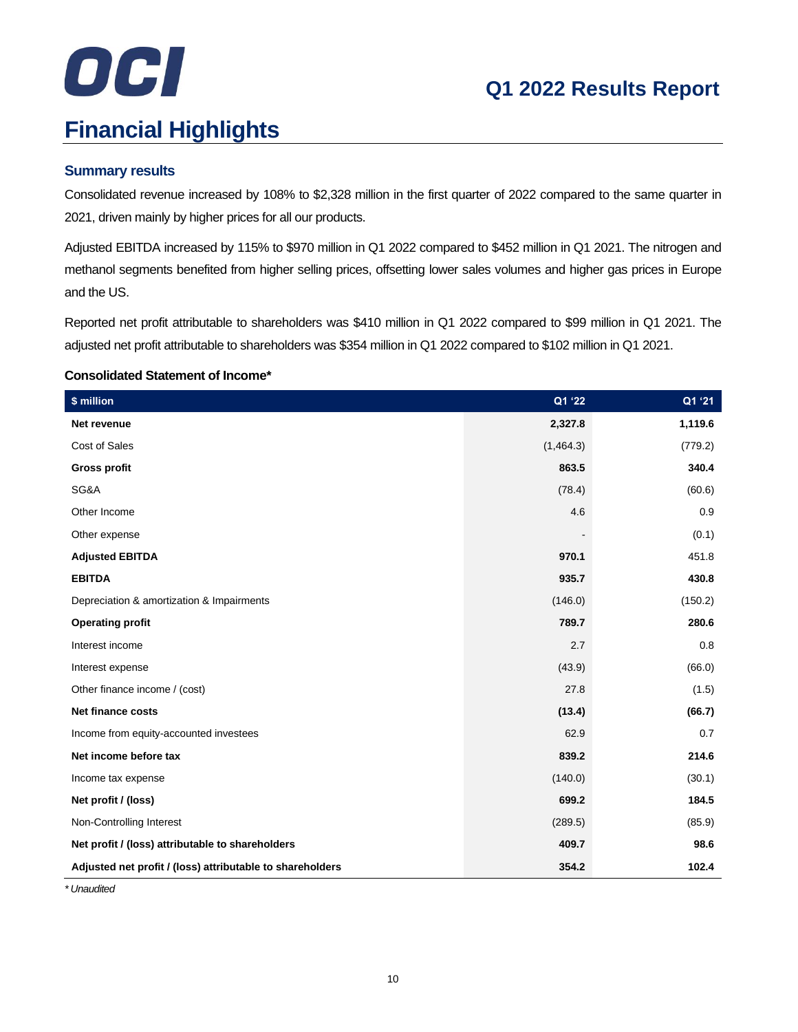## OCI **Financial Highlights**

## **Q1 2022 Results Report**

#### **Summary results**

Consolidated revenue increased by 108% to \$2,328 million in the first quarter of 2022 compared to the same quarter in 2021, driven mainly by higher prices for all our products.

Adjusted EBITDA increased by 115% to \$970 million in Q1 2022 compared to \$452 million in Q1 2021. The nitrogen and methanol segments benefited from higher selling prices, offsetting lower sales volumes and higher gas prices in Europe and the US.

Reported net profit attributable to shareholders was \$410 million in Q1 2022 compared to \$99 million in Q1 2021. The adjusted net profit attributable to shareholders was \$354 million in Q1 2022 compared to \$102 million in Q1 2021.

#### **Consolidated Statement of Income\***

| \$ million                                                | Q1 '22    | Q1 '21  |
|-----------------------------------------------------------|-----------|---------|
| Net revenue                                               | 2,327.8   | 1,119.6 |
| Cost of Sales                                             | (1,464.3) | (779.2) |
| <b>Gross profit</b>                                       | 863.5     | 340.4   |
| SG&A                                                      | (78.4)    | (60.6)  |
| Other Income                                              | 4.6       | 0.9     |
| Other expense                                             |           | (0.1)   |
| <b>Adjusted EBITDA</b>                                    | 970.1     | 451.8   |
| <b>EBITDA</b>                                             | 935.7     | 430.8   |
| Depreciation & amortization & Impairments                 | (146.0)   | (150.2) |
| <b>Operating profit</b>                                   | 789.7     | 280.6   |
| Interest income                                           | 2.7       | 0.8     |
| Interest expense                                          | (43.9)    | (66.0)  |
| Other finance income / (cost)                             | 27.8      | (1.5)   |
| <b>Net finance costs</b>                                  | (13.4)    | (66.7)  |
| Income from equity-accounted investees                    | 62.9      | 0.7     |
| Net income before tax                                     | 839.2     | 214.6   |
| Income tax expense                                        | (140.0)   | (30.1)  |
| Net profit / (loss)                                       | 699.2     | 184.5   |
| Non-Controlling Interest                                  | (289.5)   | (85.9)  |
| Net profit / (loss) attributable to shareholders          | 409.7     | 98.6    |
| Adjusted net profit / (loss) attributable to shareholders | 354.2     | 102.4   |

*\* Unaudited*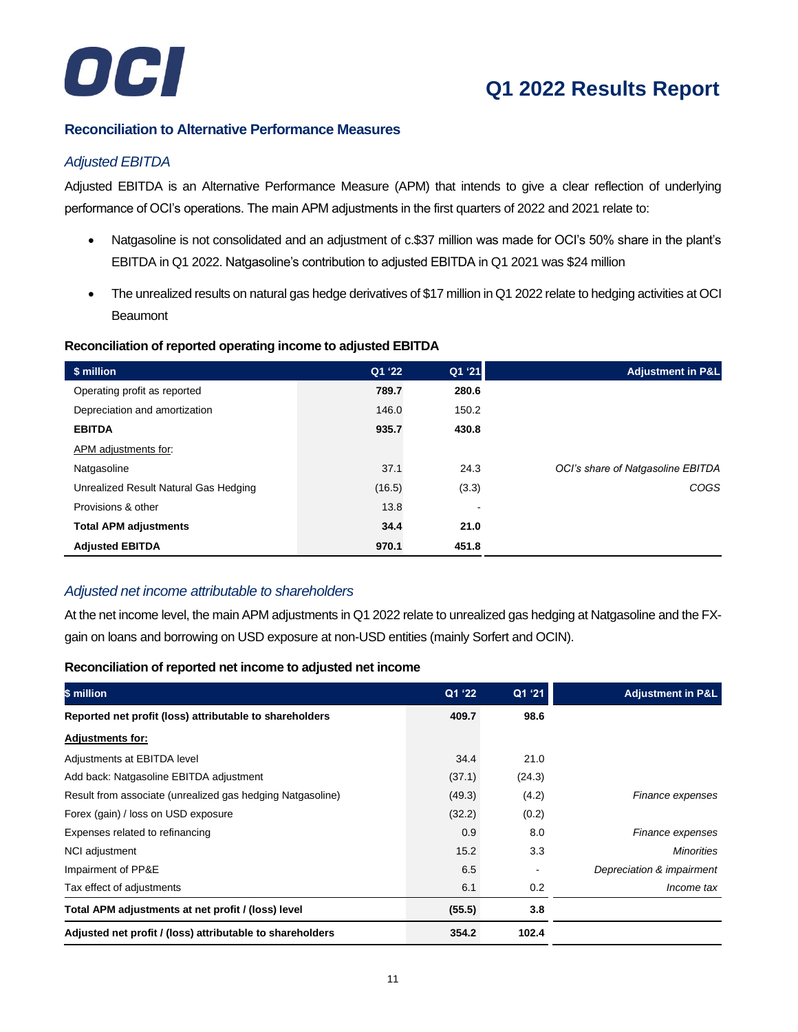

#### **Reconciliation to Alternative Performance Measures**

#### *Adjusted EBITDA*

Adjusted EBITDA is an Alternative Performance Measure (APM) that intends to give a clear reflection of underlying performance of OCI's operations. The main APM adjustments in the first quarters of 2022 and 2021 relate to:

- Natgasoline is not consolidated and an adjustment of c.\$37 million was made for OCI's 50% share in the plant's EBITDA in Q1 2022. Natgasoline's contribution to adjusted EBITDA in Q1 2021 was \$24 million
- The unrealized results on natural gas hedge derivatives of \$17 million in Q1 2022 relate to hedging activities at OCI **Beaumont**

#### **Reconciliation of reported operating income to adjusted EBITDA**

| \$ million                            | Q1 '22 | Q1 '21 | <b>Adjustment in P&amp;L</b>      |
|---------------------------------------|--------|--------|-----------------------------------|
| Operating profit as reported          | 789.7  | 280.6  |                                   |
| Depreciation and amortization         | 146.0  | 150.2  |                                   |
| <b>EBITDA</b>                         | 935.7  | 430.8  |                                   |
| APM adjustments for:                  |        |        |                                   |
| Natgasoline                           | 37.1   | 24.3   | OCI's share of Natgasoline EBITDA |
| Unrealized Result Natural Gas Hedging | (16.5) | (3.3)  | COGS                              |
| Provisions & other                    | 13.8   | ۰      |                                   |
| <b>Total APM adjustments</b>          | 34.4   | 21.0   |                                   |
| <b>Adjusted EBITDA</b>                | 970.1  | 451.8  |                                   |

#### *Adjusted net income attributable to shareholders*

At the net income level, the main APM adjustments in Q1 2022 relate to unrealized gas hedging at Natgasoline and the FXgain on loans and borrowing on USD exposure at non-USD entities (mainly Sorfert and OCIN).

#### **Reconciliation of reported net income to adjusted net income**

| \$ million                                                 | Q1'22  | Q1 '21 | <b>Adjustment in P&amp;L</b> |
|------------------------------------------------------------|--------|--------|------------------------------|
| Reported net profit (loss) attributable to shareholders    | 409.7  | 98.6   |                              |
| <b>Adjustments for:</b>                                    |        |        |                              |
| Adjustments at EBITDA level                                | 34.4   | 21.0   |                              |
| Add back: Natgasoline EBITDA adjustment                    | (37.1) | (24.3) |                              |
| Result from associate (unrealized gas hedging Natgasoline) | (49.3) | (4.2)  | Finance expenses             |
| Forex (gain) / loss on USD exposure                        | (32.2) | (0.2)  |                              |
| Expenses related to refinancing                            | 0.9    | 8.0    | Finance expenses             |
| NCI adjustment                                             | 15.2   | 3.3    | <b>Minorities</b>            |
| Impairment of PP&E                                         | 6.5    |        | Depreciation & impairment    |
| Tax effect of adjustments                                  | 6.1    | 0.2    | Income tax                   |
| Total APM adjustments at net profit / (loss) level         | (55.5) | 3.8    |                              |
| Adjusted net profit / (loss) attributable to shareholders  | 354.2  | 102.4  |                              |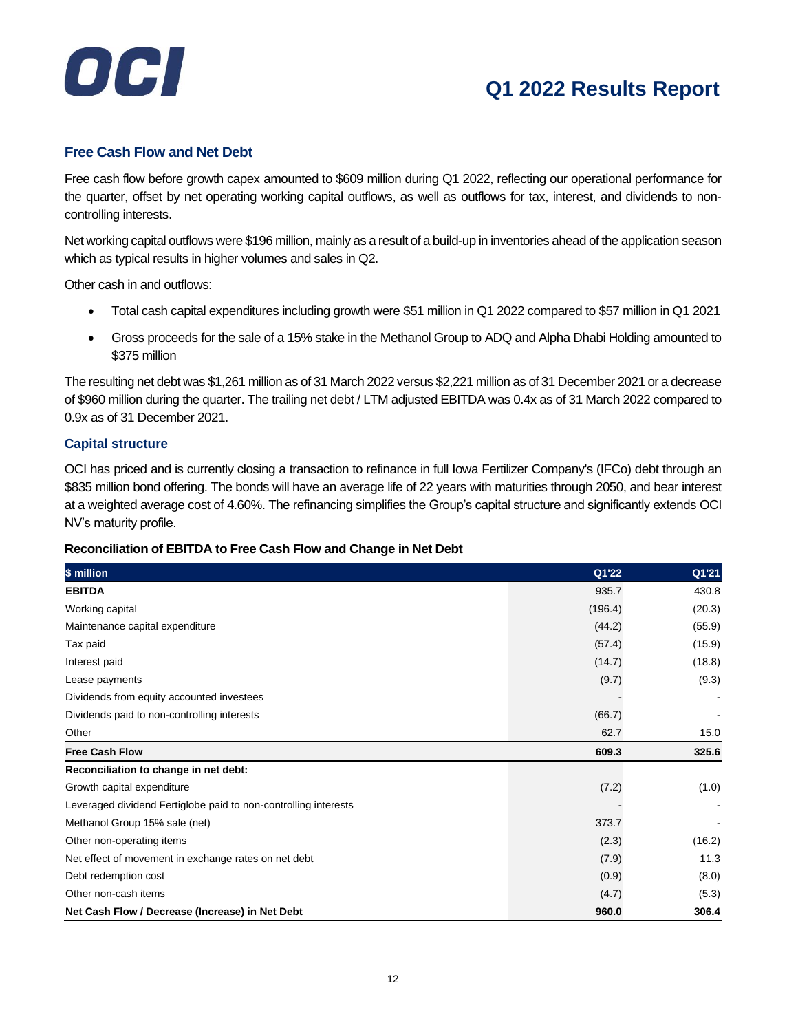## OCI

## **Q1 2022 Results Report**

#### **Free Cash Flow and Net Debt**

Free cash flow before growth capex amounted to \$609 million during Q1 2022, reflecting our operational performance for the quarter, offset by net operating working capital outflows, as well as outflows for tax, interest, and dividends to noncontrolling interests.

Net working capital outflows were \$196 million, mainly as a result of a build-up in inventories ahead of the application season which as typical results in higher volumes and sales in Q2.

Other cash in and outflows:

- Total cash capital expenditures including growth were \$51 million in Q1 2022 compared to \$57 million in Q1 2021
- Gross proceeds for the sale of a 15% stake in the Methanol Group to ADQ and Alpha Dhabi Holding amounted to \$375 million

The resulting net debt was \$1,261 million as of 31 March 2022 versus \$2,221 million as of 31 December 2021 or a decrease of \$960 million during the quarter. The trailing net debt / LTM adjusted EBITDA was 0.4x as of 31 March 2022 compared to 0.9x as of 31 December 2021.

#### **Capital structure**

OCI has priced and is currently closing a transaction to refinance in full Iowa Fertilizer Company's (IFCo) debt through an \$835 million bond offering. The bonds will have an average life of 22 years with maturities through 2050, and bear interest at a weighted average cost of 4.60%. The refinancing simplifies the Group's capital structure and significantly extends OCI NV's maturity profile.

#### **Reconciliation of EBITDA to Free Cash Flow and Change in Net Debt**

| \$ million                                                      | Q1'22   | Q1'21  |
|-----------------------------------------------------------------|---------|--------|
| <b>EBITDA</b>                                                   | 935.7   | 430.8  |
| Working capital                                                 | (196.4) | (20.3) |
| Maintenance capital expenditure                                 | (44.2)  | (55.9) |
| Tax paid                                                        | (57.4)  | (15.9) |
| Interest paid                                                   | (14.7)  | (18.8) |
| Lease payments                                                  | (9.7)   | (9.3)  |
| Dividends from equity accounted investees                       |         |        |
| Dividends paid to non-controlling interests                     | (66.7)  |        |
| Other                                                           | 62.7    | 15.0   |
| <b>Free Cash Flow</b>                                           | 609.3   | 325.6  |
| Reconciliation to change in net debt:                           |         |        |
| Growth capital expenditure                                      | (7.2)   | (1.0)  |
| Leveraged dividend Fertiglobe paid to non-controlling interests |         |        |
| Methanol Group 15% sale (net)                                   | 373.7   |        |
| Other non-operating items                                       | (2.3)   | (16.2) |
| Net effect of movement in exchange rates on net debt            | (7.9)   | 11.3   |
| Debt redemption cost                                            | (0.9)   | (8.0)  |
| Other non-cash items                                            | (4.7)   | (5.3)  |
| Net Cash Flow / Decrease (Increase) in Net Debt                 | 960.0   | 306.4  |